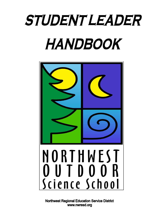# *STUDENT LEADER* HANDBOOK



**Northwest Regional Education Service District** www.nwresd.org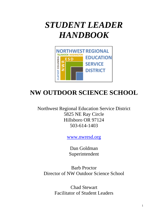## *STUDENT LEADER HANDBOOK*



## **NW OUTDOOR SCIENCE SCHOOL**

Northwest Regional Education Service District 5825 NE Ray Circle Hillsboro OR 97124 503-614-1403

[www.nwresd.org](http://www.nwresd.org/)

Dan Goldman Superintendent

Barb Proctor Director of NW Outdoor Science School

> Chad Stewart Facilitator of Student Leaders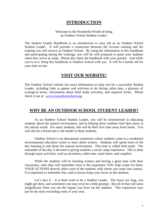#### **INTRODUCTION**

#### Welcome to the Wonderful World of being an Outdoor School Student Leader!

The Student Leader Handbook is an introduction to your job as an Outdoor School Student Leader. It will provide a connection between the in-town training and the training you will receive at Outdoor School. By using the information in this handbook and participating during the trainings, you will be well prepared to greet your students when they arrive at camp. Please also share the handbook with your parents. And while you're at it, bring this handbook to Outdoor School with you. It will be a handy aid for your time on site.

#### **VISIT OUR WEBSITE!**

The Outdoor School website has more information to help you be a successful Student Leader, including links to games and activities to do during cabin time, a glossary of ecological terms, information about field study activities, and required forms. Please check it out at: [www.nwoutdoorschool.org.](http://www.nwoutdoorschool.org/)

#### **WHY BE AN OUTDOOR SCHOOL STUDENT LEADER?**

As an Outdoor School Student Leader, you will be instrumental in educating students about the natural environment, and in helping those students find their place in the natural world. For many students, this will be their first time away from home. You will also be a friend and a role model to these students.

Outdoor School is an educational experience where students come to a residential environmental education center to learn about science. Students will spend most of the day learning in and about the natural environment. This time is called field study. The remainder of the day is devoted to giving students a social camp experience. This is done through many activities, such as recreation, cabin time, meal times, and campfire.

While the students will be learning science and having a great time with their classmates, what they will remember most is the experience YOU help create for them. YOUR ACTIONS directly affect each of the students with whom you come into contact. It is important to remember this, and to always keep your focus on the students.

Let's face it – it is hard work to be a Student Leader. The hours are long, you might get dirty, and sometimes you may even be a little grumpy. But all of that will seem insignificant when you see the impact you have on the students. This experience may just be the most rewarding week of your year.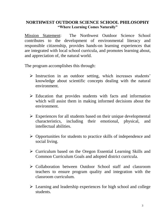#### **NORTHWEST OUTDOOR SCIENCE SCHOOL PHILOSOPHY "Where Learning Comes Naturally"**

Mission Statement: The Northwest Outdoor Science School contributes to the development of environmental literacy and responsible citizenship, provides hands-on learning experiences that are integrated with local school curricula, and promotes learning about, and appreciation of, the natural world.

The program accomplishes this through:

- $\triangleright$  Instruction in an outdoor setting, which increases students' knowledge about scientific concepts dealing with the natural environment.
- $\triangleright$  Education that provides students with facts and information which will assist them in making informed decisions about the environment.
- $\triangleright$  Experiences for all students based on their unique developmental characteristics, including their emotional, physical, and intellectual abilities.
- $\triangleright$  Opportunities for students to practice skills of independence and social living.
- $\triangleright$  Curriculum based on the Oregon Essential Learning Skills and Common Curriculum Goals and adopted district curricula.
- $\triangleright$  Collaboration between Outdoor School staff and classroom teachers to ensure program quality and integration with the classroom curriculum.
- $\triangleright$  Learning and leadership experiences for high school and college students.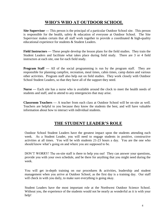#### **WHO'S WHO AT OUTDOOR SCHOOL**

**Site Supervisor —** This person is the principal of a particular Outdoor School site. This person is responsible for the health, safety & education of everyone at Outdoor School. The Site Supervisor makes certain that all staff work together to provide a coordinated & high-quality educational experience for students & Student Leaders.

**Field Instructors —** These people develop the lesson plans for the field studies. They train the Student Leaders and facilitate what takes place during field study. There are 3 or 4 field instructors at each site, one for each field study.

**Program Staff** — All of the social programming is run by the program staff. They are responsible for planning campfire, recreation, meal times, cabin times, camp duties and various other activities. Program staff also help out on field studies. They work closely with Outdoor School Student Leaders, so that they have all of the support they need.

**Nurse —** Each site has a nurse who is available around the clock to meet the health needs of students and staff, and to attend to any emergencies that may arise.

**Classroom Teachers —** A teacher from each class at Outdoor School will be on-site as well. Teachers are helpful to you because they know the students the best, and will have valuable information about how to interact with individual students.

#### **THE STUDENT LEADER'S ROLE**

Outdoor School Student Leaders have the greatest impact upon the students attending each week. As a Student Leader, you will need to engage students in positive, constructive activities at all times. You will be with students 21-23 hours a day. You are the one who should know what's going on and where you are supposed to be.

DON'T WORRY! The on-site staff is there to help you out! They can answer your questions, provide you with your own schedule, and be there for anything that you might need during the week.

You will get in-depth training on our procedures & activities, leadership and student management when you arrive at Outdoor School, as the first day is a training day. Our staff will check in with you daily, to make sure everything is going okay.

Student Leaders have the most important role at the Northwest Outdoor Science School. Without you, the experience of the students would not be nearly as wonderful as it is with your help!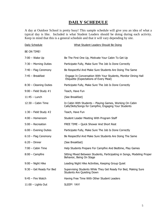## **DAILY SCHEDULE**

A day at Outdoor School is pretty busy! This sample schedule will give you an idea of what a typical day is like. Included is what Student Leaders should be doing during each activity. Keep in mind that this is a general schedule and that it will vary depending by site.

| Daily Schedule             | What Student Leaders Should Be Doing                                                                               |
|----------------------------|--------------------------------------------------------------------------------------------------------------------|
| BE ON TIME!                |                                                                                                                    |
| $7:00$ – Wake Up           | Be The First One Up, Motivate Your Cabin To Get Up                                                                 |
| $7:30$ – Morning Duties    | Participate Fully, Make Sure The Job Is Done Correctly                                                             |
| $7:40$ - Flag Ceremony     | Be Respectful And Make Sure Students Are Doing The Same                                                            |
| $7:45 - Breakfast$         | Engage In Conversation With Your Students, Monitor Dining Hall<br>Etiquette (Expectations of Every Meal)           |
| $8:30$ – Cleaning Duties   | Participate Fully, Make Sure The Job Is Done Correctly                                                             |
| $9:00$ – Field Study #1    | Teach, Have Fun                                                                                                    |
| 11:45 – Lunch              | (See Breakfast)                                                                                                    |
| $12:30 -$ Cabin Time       | In Cabin With Students - Playing Games, Working On Cabin<br>Calls/Skits/Songs for Campfire, Engaging Your Students |
| 1:30 - Field Study $#2$    | Teach, Have Fun                                                                                                    |
| 4:00 - Homeroom            | Student Leader Meeting With Program Staff                                                                          |
| $5:00$ - Recreation        | FREE TIME - Quick Shower And Short Rest                                                                            |
| $6:00$ – Evening Duties    | Participate Fully, Make Sure The Job Is Done Correctly                                                             |
| $6:10$ – Flag Ceremony     | Be Respectful And Make Sure Students Are Doing The Same                                                            |
| $6:20 -$ Dinner            | (See Breakfast)                                                                                                    |
| $7:00$ – Cabin Time        | Help Students Prepare For Campfire And Bedtime, Play Games                                                         |
| $8:00$ – Campfire          | Sitting Mixed Between Students, Participating in Songs, Modeling Proper<br>Behavior, Being On Stage                |
| $9:00 -$ Night Hike        | Leading Night Hike Activities, Keeping Group Quiet                                                                 |
| $9:30 - Get$ Ready For Bed | Supervising Students While They Get Ready For Bed, Making Sure<br>Students Are Quieting Down                       |
| $9:45$ – Fire Watch        | Having Free Time With Other Student Leaders                                                                        |
| $11:00$ - Lights Out       | SLEEP! YAY!                                                                                                        |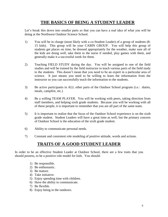#### **THE BASICS OF BEING A STUDENT LEADER**

Let's break this down into smaller parts so that you can have a real idea of what you will be doing at the Northwest Outdoor Science School.

- 1) You will be in charge (most likely with a co-Student Leader) of a group of students (8- 15 kids). This group will be your CABIN GROUP. You will help this group of students get places on time, be dressed appropriately for the weather, make sure all of the kids are doing well, take them to the nurse if needed, play games with them, and generally make it a successful week for them.
- 2) Teaching FIELD STUDY during the day. You will be assigned to one of the field studies and will be trained by the field instructor to teach various parts of the field study to the students. This doesn't mean that you need to be an expert in a particular area of science. It just means you need to be willing to learn the information from the instructor so you can successfully teach the information to the students.
- 3) Be active participants in ALL other parts of the Outdoor School program (i.e.: duties, meals, campfire, etc.)
- 4) Be a willing TEAM PLAYER. You will be working with peers, taking direction from staff members, and helping sixth grade students. Because you will be working with all of these people, it is important to remember that you are all part of the same team.
- 5) It is important to realize that the focus of the Outdoor School experience is on the sixth grade student. Student Leaders will have a great time as well, but the primary concern of Outdoor School is the education of the sixth grade student.
- 6) Ability to communicate personal needs.
- 7) Constant and consistent role modeling of positive attitude, words and actions.

### **TRAITS OF A GOOD STUDENT LEADER**

In order to be an effective Student Leader at Outdoor School, there are a few traits that you should possess, to be a positive role model for kids. You should:

- 1) Be responsible.
- 2) Be enthusiastic.
- 3) Be mature.
- 4) Take initiative.
- 5) Enjoy spending time with children.
- 6) Have the ability to communicate.
- 7) Be flexible.
- 8) Enjoy being in the outdoors.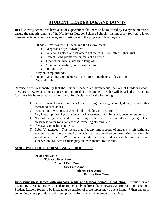#### **STUDENT LEADER DOs AND DON'Ts**

Just like every school, we have a set of expectations that need to be followed by **everyone on site** to ensure the smooth running of the Northwest Outdoor Science School. It is important for you to know these expectations before you agree to participate in the program. Here they are:

- 1) RESPECT!!! Yourself, Others, and the Environment:
	- Keep track of your own gear.
	- Get enough sleep and let others get theirs (QUIET after Lights Out).
	- Protect living plants and animals at all times.
	- Treat others nicely; use kind language.
	- Maintain a positive, enthusiastic attitude.
	- BE ON TIME!
- 2) Stay on camp grounds.
- 3) Report ANY injury or sickness to the nurse immediately—day or night!
- 4) NO swimming.

Because of the responsibility that the Student Leaders are given while they are at Outdoor School, there are a few expectations that are unique to them. A Student Leader will be asked to leave site (and possibly be referred to his/her school for discipline) for the following:

- 1) Possession of tobacco products (if still in high school), alcohol, drugs, or any other controlled substances.
- 2) Possession of weapons of ANY kind (including pocket knives).
- 3) Any inappropriate physical contact or harassment involving staff, peers, or students.
- 4) Not following dress code wearing clothes with alcohol, drug or gang related messages; halter-tops, tank tops & revealing clothing, etc.
- 5) Physically punishing students.
- 6) Cabin Unattended—This means that if at any time a group of students is left without a Student Leader, the Student Leader who was supposed to be monitoring them will be asked to leave site. We promise parents that their students will be under constant supervision. Student Leaders play an instrumental role in this.

#### **NORTHWEST OUTDOOR SCIENCE SCHOOL IS A:**

#### **Drug Free Zone Tobacco Free Zone Alcohol Free Zone Sex Free Zone Violence Free Zone Politics Free Zone**

**Discussing these topics with anybody while at Outdoor School is not okay.** If students are discussing these topics, you need to immediately redirect them towards appropriate conversation. Student Leaders found to be instigating discussion of these topics may be sent home. When unsure if something is inappropriate to discuss, play it safe – ask a staff member for advice.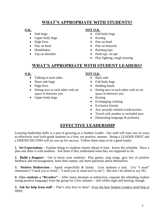#### **WHAT'S APPROPRIATE WITH STUDENTS?**

- 
- Upper body hugs Kissing
- 
- 
- 
- 

#### **O.K. NOT O.K.**

- Side hugs Full body hugs
	-
- High fives Pats on head
- Pats on back **•** Pats on buttocks
- Handshakes Running laps
- Tap on shoulder Push-ups, sit-ups
	- Play fighting, rough housing

### **WHAT'S APPROPRIATE WITH STUDENT LEADERS?**

- Talking to each other <br> **Back rubs**
- Short side hugs Full body hugs
- 
- Sitting next to each other with air space in between you
- Upper body hugs Kissing

#### **O.K. NOT O.K.**

- 
- 
- High fives Holding hands
	- Sitting next to each other with no air space in between you
	-
	- Exchanging clothing
	- Exclusive friends
	- Any sexually related words/actions
	- Travel with another to secluded area
	- Demeaning language & profanity

### **EFFECTIVE LEADERSHIP**

Learning leadership skills is a part of growing as a Student Leader. Our staff will train you on ways to effectively lead sixth-grade students in a firm, yet positive, manner. Being a LEADER FIRST and a FRIEND SECOND will set you up for success. Follow these steps to be a good leader:

**1. Set Expectations –** Explain things to students clearly ahead of time. Know the schedule. Have a plan and share it with students. Ask them if they understand what they are supposed to do.

**2. Build a Rapport –** Get to know your students! Play games, sing songs, give lots of positive feedback and encouragement, learn their names, ask them questions about themselves.

**3. Positive Redirection** – Speak respectfully & firmly. Give students a task. Use "I need" statements ("I need you to listen", "I need you to stand next to me"). But don't be afraid to say NO.

**4. Give students a "Breather" –** After many attempts at redirection, separate the offending student (using positive language) from the group for a few minutes – still within sight and hearing, though.

**5. Ask for help from staff –** That's why they're there! Even the best Student Leaders need help at times.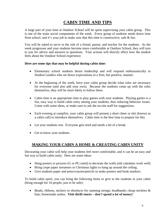## **CABIN TIME AND TIPS**

A large part of your time at Outdoor School will be spent supervising your cabin group. This is one of the main social components of the week. Every group of students needs down time from school, and it's your job to make sure that this time is constructive, safe & fun.

You will be asked to serve in the role of a friend, parent, and teacher for the students. As the week progresses and your students become more comfortable at Outdoor School, they will turn to you for advice and answers to questions. Your actions will directly affect how the student feels about the Outdoor School experience.

#### **Here are some tips that may be helpful during cabin time:**

- Elementary school students desire leadership and will respond enthusiastically to Student Leaders who set down expectations in a firm, but positive, manner.
- At the beginning of the week, have your cabin group decide what rules are necessary for everyone (and also add your own). Because the students come up with the rules themselves, they will be more likely to follow them.
- Cabin time is an appropriate time to play games with your students. Playing games is a fun, easy way to build cabin unity among your students, thus reducing behavior issues. Come with some ideas, or make sure to ask the on-site staff for suggestions.
- Each evening at campfire, your cabin group will present a short cheer or skit (known as a cabin call) to introduce themselves. Cabin time is the best time to prepare for this.
- Let your students rest. Everyone gets tired and needs a bit of a break.
- Get to know your students.

#### **MAKING YOUR CABIN A HOME & CREATING CABIN UNITY**

Decorating your cabin will help your students feel more comfortable, and it can be an easy and fun way to build cabin unity. Here are some ideas:

- Hang posters or pictures (G or PG rated) to decorate the walls (old calendars work well)
- Bring crepe paper streamers or Christmas lights to hang up around the ceiling.
- Give students paper and pens/crayons/pencils to make posters and bunk markers.

To build cabin spirit, you can bring the following items to give to the students in your cabin (bring enough for 16 people, just to be safe):

Beads, ribbons, stickers or shoelaces for nametag strings; headbands; cheap neckties  $\&$ hats; homemade sashes. **Visit thrift stores – don't spend a lot of money!**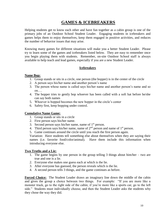#### **GAMES & ICEBREAKERS**

Helping students get to know each other and have fun together as a cabin group is one of the primary jobs of an Outdoor School Student Leader. Engaging students in icebreakers and games helps them to enjoy themselves, keep them engaged in positive activities, and reduces the number of behavior issues that may arise.

Knowing many games for different situations will make you a better Student Leader. Please try to learn some of the games and icebreakers listed below. They are easy to remember once you begin playing them with students. Remember, on-site Outdoor School staff is always available to help teach and lead games, especially if you are a new Student Leader.

#### **Icebreakers**

#### **Name Bop:**

- 1. Group stands or sits in a circle, one person (the bopper) is in the center of the circle
- 2. A person says his/her name and another person's name
- 3. The person whose name is called says his/her name and another person's name and so on….
- 4. The bopper tries to gently bop whoever has been called with a soft hat before he/she can say both names
- 5. Whoever is bopped becomes the new bopper in the circle's center
- 6. Safety first, keep bopping under control.

#### **Cumulative Name Game:**

- 1. Group stands or sits in a circle
- 2. First person says his/her name.
- 3. Second person says his/her name, name of  $1<sup>st</sup>$  person.
- 4. Third person says his/her name, name of  $2<sup>nd</sup>$  person and name of  $1<sup>st</sup>$  person.
- 5. Game continues around the circle until you reach the first person again.

Variation: Have students tell something else about themselves when they are saying their names (i.e. favorite food/color/animal). Have them include this information when introducing everyone else.

#### **Two Truths and a Lie:**

- 1. The game begins by one person in the group telling 3 things about him/her two are true and one is a lie.
- 2. Everyone else makes one guess each at which is the lie.
- 3. After everyone has guessed, the person reveals which is the lie.
- 4. A second person tells 3 things, and the game continues as before.

**Forced Choice:** The Student Leader draws an imaginary line down the middle of the cabin and gives the group a choice between two things. For example: "If you are more like a monster truck, go to the right side of the cabin; if you're more like a sports car, go to the left side." Students must individually choose, and then the Student Leader asks the students why they chose the way they did.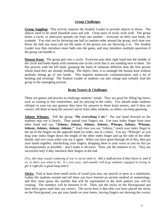#### **Group Challenges**

**Group Juggling:** This activity requires the Student Leader to provide objects to throw. The objects need to be small (baseball size) and soft. Clean pairs of socks work well. The group forms a circle, or otherwise spreads out from one another – everyone on their own bunk, for example. You start out by throwing one ball in random order around the group, each time you throw the ball you must call out the name of the person you are throwing it to. The Student Leader may then introduce more balls into the game, and may introduce multiple questions if the group can handle it.

**Human Knot:** The group gets into a circle. Everyone puts their right hand into the middle of the circle and holds hands with someone else in the circle that is not standing next to them. Do this process with the left hand, grasping the hand of someone different than the first person whose hand they are already holding. The object, then, is to untangle the human knot without anybody letting go of any hands. This requires teamwork, communication, and a lot of bending and twisting! The Student Leader or students can take charge and verbally lead the group in the untangling process.

#### **Brain Teasers & Challenges**

These are games and puzzles to challenge students' minds. They are good for filling lag times, such as waiting in line somewhere, and for playing in the cabin. You should make students whisper in your ear any guesses they have for answers to these brain teasers, and if they are correct, tell them to keep the answers secret from other students, so others can keep guessing.

**Johnny Whoops:** Tell the group, "Do everything I do." Put one hand forward so the students may see it clearly. Then spread your fingers out. Use your index finger from your other hand and say, **"Johnny, Johnny, Johnny, Johnny, Whoops, Johnny, Whoops, Johnny, Johnny, Johnny, Johnny."** Each time you say "Johnny," touch your index finger to the tip of the fingers on the opposite hand (in order, one at a time). You say "Whoops" as you drag your index finger down the length of the other index finger and up the side of the other thumb, and vice versa when you say it again. When you have gone through all of this, then put your hands together, interlocking your fingers, dropping them to your waist as you do this (as inconspicuously as possible – don't make it obvious). Then, ask the students to try. They are successful only if they interlock their fingers at the end.

*(Yes, this may sound confusing if you've never seen it. Ask a staff person if they know it, and if so, to show you what to do. It's very easy, and usually will keep students engaged in trying to get it right for a good long time!)*

**Sticks:** Find at least three small sticks of wood (you may use pencils or pens as a substitute). Gather the students around and tell them you have learned an ancient method of numerology, and they must guess the number that will be represented in the stick pattern you will be creating. The numbers will be between 0-10. Then, put the sticks on the floor/ground and have them guess until they are correct. The secret here is that after you have placed the sticks on the floor/ground, you put your hands on your knees, leaving fingers out showing the correct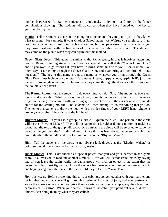number between 0-10. Be inconspicuous – don't make it obvious – and mix up the finger combinations showing. The students will be correct when they have figured out the key to your number system.

**Picnic:** Tell the students that you are going on a picnic and they may join you if they know what to bring. For example, if your Outdoor School name was Walrus, you might say, "I am going on a picnic and I am going to bring **waffles**, but not **pancakes**." Whatever items you may bring must start with the first letter of your name, the other items do not. The students may come on the picnic when they can figure out this method.

**Green Glass Door:** This game is similar to the Picnic game, in that it involves letters and words. Begin by telling students that there is a special door called the "Green Glass Door," and if you want to go through it, you have to bring something with you. For example, you might say, "I am going through the Green Glass Door, and I can bring a kitten through it, but not a cat." The key to this game is that the name of whatever you bring through the Green Glass Door must include double letters (examples: ki**tt**en, pu**pp**y, sp**oo**n, a**pp**le, ba**ll**), just like the words gr**ee**n, gla**ss** and d**oo**r. The students may come through the door once they figure out the double letter pattern.

**The Round Moon:** Ask the students to do everything you do. Say, "The moon has two eyes, a nose and a mouth." While you say this phrase, draw the moon and its face with your index finger in the air (draw a circle with your finger, then point to where the eyes & nose are, and do an arc for the smiling mouth). The students will then attempt to do everything that you do. The key to this game is to draw the moon with the index finger of your **LEFT** hand. Students are only successful if they also use the left hand.

**Rhythm Maker:** Sit your cabin group in a circle. Explain the rules. One person in the circle will be the "Rhythm Maker." They will be responsible for either doing a motion or making a sound that the rest of the group will copy. One person in the circle will be selected to leave the group while you pick the "Rhythm Maker." Once this has been done, the person who left the circle stands in the middle and tries to figure out who the "Rhythm Maker" is.

Hint: Tell the students in the circle to not always look directly at the "Rhythm Maker," as doing so would make it easier for the person guessing.

**Black Magic:** This is described as a special power that you and your partner in the game share. It allows you to read one another's minds. How you will demonstrate this is by having one of you leave the cabin, while the cabin group will pick an object in the cabin that the person who left must figure out. Once the object has been selected, invite the person back in and begin going through items in the cabin until they select the "correct" object.

*How this works:* Before presenting this to your cabin group, get together with your partner and let him/her know that you will go through a series of incorrect objects, and your partner will know the correct object when you give them a certain clue. For example, say the object your cabin selects is a **shoe**. When your partner returns to the cabin, you point out several different objects, describing them by what they are called: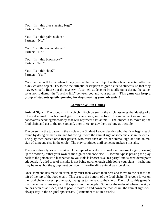You: "Is it this blue sleeping bag?" Partner: "No."

You: "Is it this painted door?" Partner: "No."

You: "Is it the smoke alarm?" Partner: "No."

You: "Is it this **black** sock?" Partner: "No."

You: "Is it this shoe?" Partner: "Yes!"

Your partner will know when to say yes, as the correct object is the object selected after the **black** colored object. Try to use the **"black"** description to give a clue to students, so that they may eventually figure out the mystery. Also, tell students to be totally quiet during the game, so as not to disrupt the "psychic link" between you and your partner. **This game can keep a group of students quietly guessing for days, making your job easier!**

#### **Competitive Fun Games**

**Animal Signs:** The group sits in a **circle**. Each person in the circle assumes the identity of a different animal. Each animal gets to have a sign, in the form of a movement or motion of hands/arms/head/legs/face/body that will represent that animal. The object is to move up the food chain and get to the top spot and, once there, to stay there as long as possible.

The person in the top spot in the circle – the Student Leader decides who that is – begins each round by doing his/her sign, and following it with the animal sign of someone else in the circle. The play then passes onto that person, who must then do his/her animal sign and the animal sign of someone else in the circle. The play continues until someone makes a mistake.

There are three types of mistakes. One type of mistake is to make an incorrect sign (messing up the motion), either your own or the sign of someone else. A second type is passing the play back to the person who just passed to you (this is known as a "tea party" and is considered poor etiquette). A third type of mistake is not being quick enough with doing your signs – hesitating may be okay, but the group must consider if the offending animal was too slow.

Once someone has made an error, they must then vacate their seat and move to the seat to the left of the top of the food chain. This seat is the bottom of the food chain. Everyone lower on the food chain moves up one spot, changing to the seat to their left. The trick to this game is that the animal signs stay with the spots, not the people. So, once the order of where the signs are has been established, and as people move up and down the food chain, the animal signs will always stay in the original spots/seats. (Remember to sit in a circle.)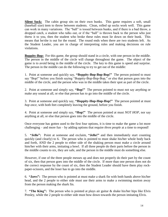**Silent Sock:** The cabin group sits on their own bunks. This game requires a soft, small (baseball size) item to throw between students. Clean, rolled up socks work well. This game can work in many variations. The "ball" is tossed between bunks, and if there is a bad throw, a dropped catch, a student who talks out, or if the "ball" is thrown back to the person who just threw it to you, then the student who broke these rules must lie down on their bunk. This means that he/she is out for the round. The round ends when there are two students left. As the Student Leader, you are in charge of interpreting rules and making decisions on rule violations.

**Boppity-Bop:** For this game, the group should stand in a circle, with one person in the middle. The person in the middle of the circle will change throughout the game. The object of the game is to avoid being in the middle of the circle. The key to this game is speed and surprise. The person in the middle can do the following to try to get out of the middle:

1. Point at someone and quickly say, **"Boppity-Bop-Bop-Bop!"** The person pointed to must say "Bop!" before you finish saying "Boppity-Bop-Bop-Bop," or else that person goes into the middle of the circle, and the person who was in the middle takes their spot as part of the circle.

2. Point at someone and simply say, **"Bop!"** The person pointed to must not say anything or make any sound at all, or else that person has to go into the middle of the circle.

3. Point at someone and quickly say, **"Hoppity-Hop-Hop-Hop!"** The person pointed at must *hop once*, with both feet completely leaving the ground, before you finish.

4. Point at someone and simply say, **"Hop!"** The person pointed at must *NOT HOP*, nor say anything at all, or else that person goes into the middle of the circle.

Once everyone has gotten used to the first four options, it is time to make the game a lot more challenging – and more fun – by adding options that require *three people* at a time to respond!

5. **"Jello":** Point at someone and exclaim, **"Jello!"** and then immediately start counting quickly (and clearly) to 6. The person who is pointed to must shake his/her whole body back and forth, AND the 2 people to either side of the shaking person must make a circle around him/her with their arms, imitating a bowl. If all three people do their parts before the person in the middle counts to six, they are safe, and the person in the middle must do something else.

However, if one of the three people messes up and does not properly do their part by the count of six, then that person goes into the middle of the circle. If more than one person does not do the correct response by the count of six, then the Student Leader should have them play rockpaper-scissors, and the loser has to go into the middle.

6. **"Jaws":** The person who is pointed at must make a shark fin with both hands above his/her head, and the 2 people to either side must use their arms to make a swimming motion away from the person making the shark fin.

7. **"The King":** The person who is pointed at plays air guitar & shake his/her hips like Elvis Presley, while the 2 people to either side must bow down towards the person imitating Elvis.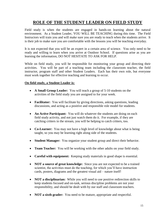## **ROLE OF THE STUDENT LEADER ON FIELD STUDY**

Field study is when the students are engaged in hands-on learning about the natural environment. As a Student Leader, YOU WILL BE TEACHING during this time. The Field Instructors will train you and will make sure you are ready to teach when the students arrive. It is their job to make sure you are comfortable with the lessons you will be teaching everyday.

It is not expected that you will be an expert in a certain area of science. You only need to be ready and willing to learn when you arrive at Outdoor School. If questions arise as you are learning the information, DO NOT HESITATE TO ASK FOR HELP.

While on field study, you will be responsible for monitoring your group and directing their activities. You will be part of a teaching team including the classroom teacher, the field instructor, program staff and other Student Leaders. Each has their own role, but everyone must work together for effective teaching and learning to occur.

#### **On field study, a Student Leader is:**

- **A Small Group Leader:** You will teach a group of 5-10 students on the activities of the field study you are assigned to for your week.
- **Facilitator:** You will facilitate by giving directions, asking questions, leading discussions, and acting as a positive and responsible role model for students.
- **An Active Participant:** You will do whatever the students are doing on each field study activity, and not just watch them do it. For example, if they are catching critters in the stream, you will be helping to catch critters, too.
- **Co-Learner:** You may not have a high level of knowledge about what is being taught, so you may be learning right along side of the students.
- **Student Manager:** You organize your student group and direct their behavior.
- **Team Teacher:** You will be working with the other adults on your field study.
- **Careful with equipment:** Keeping study materials in good shape is essential.
- **NOT a source of great knowledge:** Since you are not expected to be a trained scientist, the activities must do the teaching, for which you'll have instruction cards, posters, diagrams and the greatest visual aid – nature itself!
- **NOT a disciplinarian:** While you will need to use positive redirection skills to keep students focused and on-task, serious discipline problems are not your responsibility, and should be dealt with by our staff and classroom teachers.
- **NOT a sixth grader:** You need to be mature, appropriate and respectful.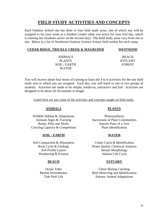#### **FIELD STUDY ACTIVITIES AND CONCEPTS**

Each Outdoor School site has three or four field study areas, one of which you will be assigned to for your week as a Student Leader when you arrive for your first day, which is training day (students arrive on the second day). The field study areas vary from site to site. Below is a list of Northwest Outdoor Science School field studies for each camp:

#### **CEDAR RIDGE, TRICKLE CREEK & MAGRUDER**

**WESTWIND**

ANIMALS PLANTS SOIL / EARTH WATER

BEACH **ESTUARY** FOREST

You will receive about four hours of training to learn the 4 to 6 activities for the one field study area to which you are assigned. Each day, you will teach to one or two groups of students. Activities are made to be simple, hands-on, interactive and fun! Activities are designed to be about 20-30 minutes in length.

Listed here are just some of the activities and concepts taught on field study.

#### **ANIMALS PLANTS**

Wildlife Habitat & Adaptations Photosynthesis Carrying Capacity & Competition Plant Identification

#### **SOIL / EARTH WATER**

Weathering & Erosion Salmon Life Cycle

Animals Signs & Tracking Succession of Plant Communities Bones, Pelts and Skulls Interior Parts of a Tree

Soil Compaction & Absorption Critter Catch & Identification Rock Cycle & Geology Water Quality Chemical Analysis Soil Profile Layers Stream Morphology

#### **BEACH ESTUARY**

Ocean Tides Ghost Shrimp Catching Marine Invertebrates Bird Observing and Identification Tide Pool Life Estuary Animal Adaptations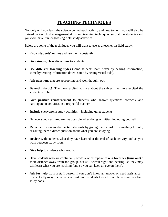## **TEACHING TECHNIQUES**

Not only will you learn the science behind each activity and how to do it, you will also be trained on key child management skills and teaching techniques, so that the students (and you) will have fun, engrossing field study activities.

Below are some of the techniques you will want to use as a teacher on field study:

- Know **students' names** and use them constantly!
- Give **simple, clear directions** to students.
- Use **different teaching styles** (some students learn better by hearing information, some by writing information down, some by seeing visual aids).
- **Ask questions** that are appropriate and well thought–out.
- **Be enthusiastic!** The more excited you are about the subject, the more excited the students will be.
- Give **positive reinforcement** to students who answer questions correctly and participate in activities in a respectful manner.
- **Include everyone** in study activities including quiet students.
- Get everybody as **hands-on** as possible when doing activities, including yourself.
- **Refocus off-task or distracted students** by giving them a task or something to hold, or asking them a direct question about what you are studying.
- **Review** with students what they have learned at the end of each activity, and as you walk between study spots.
- Give help to students who need it.
- Have students who are continually off-task or disruptive **take a breather (time out)** a short distance away from the group, but still within sight and hearing, so they may still learn what you are teaching (and so you can keep an eye on them).
- Ask for help from a staff person if you don't know an answer or need assistance it's perfectly okay! You can even ask your students to try to find the answer in a field study book.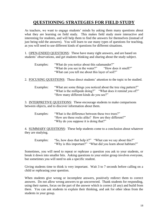## **QUESTIONING STRATEGIES FOR FIELD STUDY**

As teachers, we want to engage students' minds by asking them many questions about what they are learning on field study. This makes field study more interactive and interesting for students, and will help them to find the answers for themselves (instead of just being told the answers). You will learn to use many types of questions for teaching, as you will need to use different kinds of questions for different situations.

1. OPEN-ENDED QUESTIONS: These have many right answers, and are based on students' observations, and get students thinking and sharing about the study subject.

- Examples: "What do you notice about this salamander?" "What do you see in the water?" "How does it smell?" "What can you tell me about this layer of soil?"
- 2. FOCUSING QUESTIONS: These direct students' attention to the topic to be studied.
	- Examples: "What are some things you noticed about the tree ring pattern?" "What is the millipede doing?" "What does it remind you of?" "How many different kinds do you see?"

3. INTERPRETIVE QUESTIONS: These encourage students to make comparisons between objects, and to discover information about them.

Examples: "What is the difference between these two trees?" "How are these rocks alike? How are they different?" "Why do you suppose it is doing that?"

4. SUMMARY QUESTIONS: These help students come to a conclusion about whatever they are studying.

Examples: "So, how does that help it?" "What can we say about this?" "Why is this important?" "What did you learn about habitats?"

Sometimes, you will need to repeat or rephrase a question you ask to your students, or break it down into smaller bits. Asking questions to your entire group involves everyone, but sometimes you will need to ask a specific student.

Giving students time to think is very important. Wait 3 to 7 seconds before calling on a child or rephrasing your question.

When students give wrong or incomplete answers, positively redirect them to correct answers. Do not allow wrong answers to go uncorrected. Thank students for responding, using their names, focus on the part of the answer which is correct (if any) and build from there. You can ask students to explain their thinking, and ask for other ideas from the students in your group.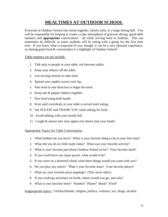#### **MEALTIMES AT OUTDOOR SCHOOL**

Everyone at Outdoor School eats meals together, family style, in a large dining hall. You will be responsible for helping to create a calm atmosphere of gracious dining, good table manners and **appropriate** conversation – all while serving food to students. This can sometimes be difficult, as many students will be eating with a group for the first time ever. If you know what is expected of you, though, it can be a very pleasant experience, as sharing good food & conversation is a highlight of Outdoor School!

#### Table manners we use include:

- 1. Talk only to people at your table, not between tables.
- 2. Keep your elbows off the table.
- 3. Use serving utensils to take food.
- 4. Spread your napkin across your lap.
- 5. Pass food in one direction to begin the meal.
- 6. Keep salt & pepper shakers together.
- 7. Pass food using both hands.
- 8. Wait until everybody at your table is served until eating.
- 9. Say PLEASE and THANK YOU when asking for food.
- 10. Avoid talking with your mouth full.
- 11. Cough & sneeze into your upper arm sleeve (not your hand).

#### Appropriate Topics for Table Conversation:

- 1. What hobbies do you have? What is your favorite thing to do in your free time?
- 2. What did you do on field study today? What was your favorite activity?
- 3. What is your favorite part about Outdoor School so far? Your favorite meal?
- 4. If you could have one super power, what would it be?
- 5. If you were on a deserted island, what three things would you want with you?
- 6. Do you play any sports? What's your favorite team? Your favorite player?
- 7. What are your favorite pizza toppings? (This never fails!)
- 8. If you could go anywhere on Earth, where would you go, and why?
- 9. What is your favorite letter? Number? Planet? Book? Food?

Inappropriate topics: Girl/boyfriends, religion, politics, violence, sex, drugs, alcohol.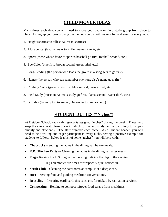#### **CHILD MOVER IDEAS**

Many times each day, you will need to move your cabin or field study group from place to place. Lining up your group using the methods below will make it fun and easy for everybody.

- 1. Height (shortest to tallest, tallest to shortest)
- 2. Alphabetical (last names A to Z, first names Z to A, etc.)
- 3. Sports (those whose favorite sport is baseball go first, football second, etc.)
- 4. Eye Color (blue first, brown second, green third, etc.)
- 5. Song-Leading (the person who leads the group in a song gets to go first)
- 6. Names (the person who can remember everyone else's name goes first)
- 7. Clothing Color (green shirts first, blue second, brown third, etc.)
- 8. Field Study (those on Animals study go first, Plants second, Water third, etc.)
- 9. Birthday (January to December, December to January, etc.)

#### **STUDENT DUTIES ("Niches")**

At Outdoor School, each cabin group is assigned "niches" during the week. These help keep the site a neat, clean place in which to live and study, and allow things to happen quickly and efficiently. The staff organize each niche. As a Student Leader, you will need to be a willing and eager participant in every niche, setting a positive example for students to follow. Below is a list of some "niches" you will help with:

- **Chopsticks** Setting the tables in the dining hall before meals.
- **K.P. (Kitchen Party)** Cleaning the tables in the dining hall after meals.
- **Flag** Raising the U.S. flag in the morning, retiring the flag in the evening.

Flag ceremonies are times for respect & quiet reflection.

- **Scrub Club** Cleaning the bathrooms at camp. Not a deep clean.
- **Host** Serving food and guiding mealtime conversations.
- **Recycling** Preparing cardboard, tins cans, etc. for pickup by sanitation services.
- **Composting** Helping to compost leftover food scraps from mealtimes.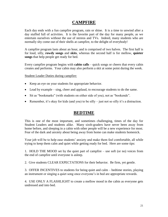#### **CAMPFIRE**

Each day ends with a fun campfire program, rain or shine. It is a time to unwind after a day stuffed full of activities. It is the favorite part of the day for many people, as we entertain ourselves without the use of stereos and TVs. Indeed, many students who are normally shy come out of their shells at campfire, to the delight of everybody!

A campfire program lasts about an hour, and is comprised of two halves. The first half is for loud, silly, **rowdy songs** and **skits**, whereas the second half is for mellow, **quieter songs** that help people get ready for bed.

Every campfire program begins with **cabin calls** – quick songs or cheers that every cabin creates and performs. Your cabin may also perform a skit at some point during the week.

Student Leader Duties during campfire:

- Keep an eye on your students for appropriate behavior.
- Lead by example sing, cheer and applaud, to encourage students to do the same.
- Sit as "bookmarks" (with students on either side of you), not as "bookends".
- Remember, it's okay for kids (and you) to be silly just not so silly it's a distraction.

#### **BEDTIME**

This is one of the most important, and sometimes challenging, times of the day for Student Leaders and students alike. Many sixth-graders have never been away from home before, and sleeping in a cabin with other people will be a new experience for most. Fear of the dark and anxiety about being away from home can make students homesick.

Your job will be to help ease students' anxiety and make them feel comfortable, all while trying to keep them calm and quiet while getting ready for bed. Here are some tips:

1. HOLD THE MOOD set by the quiet part of campfire – use soft (or no) voices from the end of campfire until everyone is asleep.

2. Give students CLEAR EXPECTATIONS for their behavior. Be firm, yet gentle.

3. OFFER INCENTIVES to students for being quiet and calm – bedtime stories, playing an instrument or singing a quiet song once everyone's in bed are appropriate rewards.

4. USE ONLY A FLASHLIGHT to create a mellow mood in the cabin as everyone gets undressed and into bed.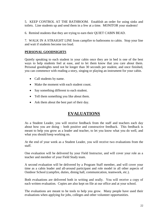5. KEEP CONTROL AT THE BATHROOM. Establish an order for using sinks and toilets. Line students up and send them in a few at a time. MONITOR your students!

6. Remind students that they are trying to earn their QUIET CABIN BEAD.

7. WALK IN A STRAIGHT LINE from campfire to bathrooms to cabin. Stop your line and wait if students become too loud.

#### **PERSONAL GOODNIGHTS**

Quietly speaking to each student in your cabin once they are in bed is one of the best ways to help students feel at ease, and to let them know that you care about them. Personal goodnights need not be longer than 30 seconds per student, and once finished, you can commence with reading a story, singing or playing an instrument for your cabin.

- Call students by name.
- Make the moment with each student count.
- Say something different to each student.
- Tell them something you like about them.
- Ask them about the best part of their day.

### **EVALUATIONS**

As a Student Leader, you will receive feedback from the staff and teachers each day about how you are doing – both positive and constructive feedback. This feedback is meant to help you grow as a leader and teacher, to let you know what you do well, and what you should keep working on.

At the end of your week as a Student Leader, you will receive two evaluations from the staff.

One evaluation will be delivered by your Field Instructor, and will cover your role as a teacher and member of your Field Study team.

A second evaluation will be delivered by a Program Staff member, and will cover your time as a cabin leader and all-around participant and role model in all other aspects of Outdoor School (campfire, duties, dining hall, communication, teamwork, etc.).

Both evaluations are delivered both in writing and orally. You will receive a copy of each written evaluation. Copies are also kept on file at our office and at your school.

The evaluations are meant to be tools to help you grow. Many people have used their evaluations when applying for jobs, colleges and other volunteer opportunities.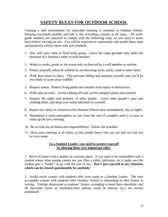#### **SAFETY RULES FOR OUTDOOR SCHOOL**

Creating a safe environment for enjoyable learning is essential at Outdoor School. Keeping everybody healthy and safe is the overriding concern at all times. All sixthgrade students are expected to comply with the following rules, so you need to know them before arriving on site. You will be expected to consistently role model these rules and positively enforce them with your students.

- 1. Stay with your cabin or field study group. Leave the camp grounds only under the direction of a Student Leader or staff member.
- 2. Wade in creeks, ponds or the ocean only as directed by a staff member or teacher.
- 3. Protect yourself, others & wildlife by not throwing rocks, sticks, sand or other items.
- 4. Walk from place to place. This prevents falling and injuring yourself, and you'll be less likely to scare away wildlife.
- 5. Respect nature. Protect living plants and animals from injury or destruction.
- 6. Walk only on trails. Avoid walking off-trail, as this tramples plants and animals.
- 7. Respect the rights and property of other people. Leave other people's gear and clothing alone, and keep your hands and body to yourself.
- 8. Report any injury or sickness to the Outdoor School nurse immediately, day or night!
- 9. Maintained a quiet atmosphere on site from the end of campfire until it is time to wake up the next morning.
- 10. Be on time for all duties and responsibilities. Follow the schedule.
- 11. Wear your nametag at all times, so that people know who you are and can call you by your name.

#### **As a Student Leader, you need to protect yourself by obeying these very important rules:**

1. Never be alone with a student in a private place. If you need to be somewhere with a student where other people cannot see you (like a cabin, bathroom, etc.), make sure the student gets a "buddy" to go with the two of you. **Don't put yourself in any situation which can be viewed questionably by anybody!**

2. Avoid social contact with students after your week as a Student Leader. The only acceptable contact with students after Outdoor School is responding to their letters in writing. Visiting classrooms or students' homes, arranging to meet them elsewhere, and all electronic forms of communication (phone, email & internet, etc.) are strictly prohibited!